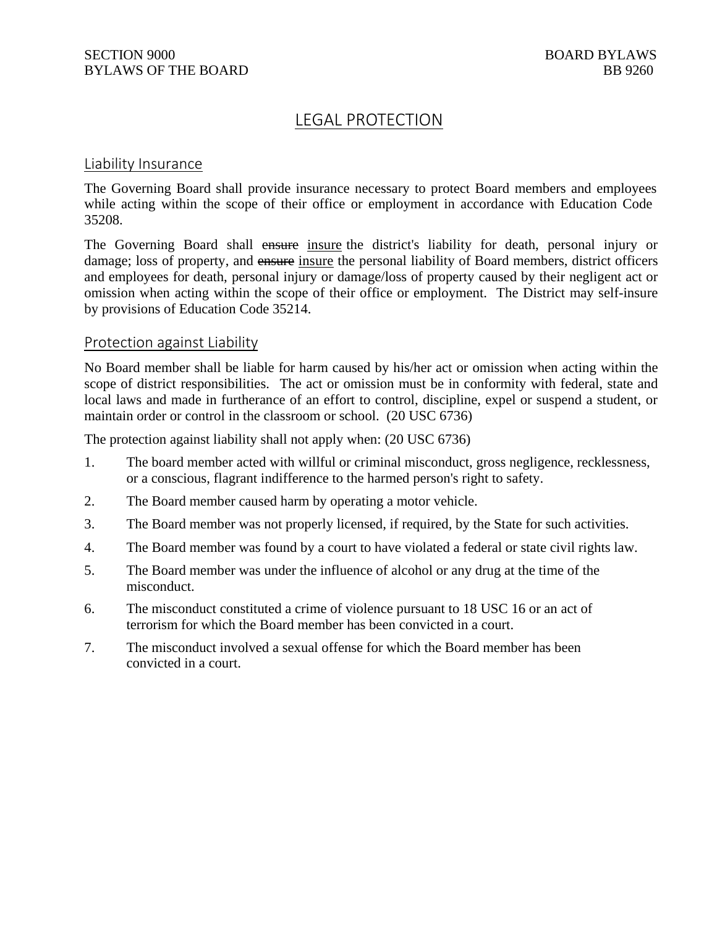# LEGAL PROTECTION

### Liability Insurance

The Governing Board shall provide insurance necessary to protect Board members and employees while acting within the scope of their office or employment in accordance with Education Code 35208.

The Governing Board shall ensure insure the district's liability for death, personal injury or damage; loss of property, and ensure insure the personal liability of Board members, district officers and employees for death, personal injury or damage/loss of property caused by their negligent act or omission when acting within the scope of their office or employment. The District may self-insure by provisions of Education Code 35214.

### Protection against Liability

No Board member shall be liable for harm caused by his/her act or omission when acting within the scope of district responsibilities. The act or omission must be in conformity with federal, state and local laws and made in furtherance of an effort to control, discipline, expel or suspend a student, or maintain order or control in the classroom or school. (20 USC 6736)

The protection against liability shall not apply when: (20 USC 6736)

- 1. The board member acted with willful or criminal misconduct, gross negligence, recklessness, or a conscious, flagrant indifference to the harmed person's right to safety.
- 2. The Board member caused harm by operating a motor vehicle.
- 3. The Board member was not properly licensed, if required, by the State for such activities.
- 4. The Board member was found by a court to have violated a federal or state civil rights law.
- 5. The Board member was under the influence of alcohol or any drug at the time of the misconduct.
- 6. The misconduct constituted a crime of violence pursuant to 18 USC 16 or an act of terrorism for which the Board member has been convicted in a court.
- 7. The misconduct involved a sexual offense for which the Board member has been convicted in a court.